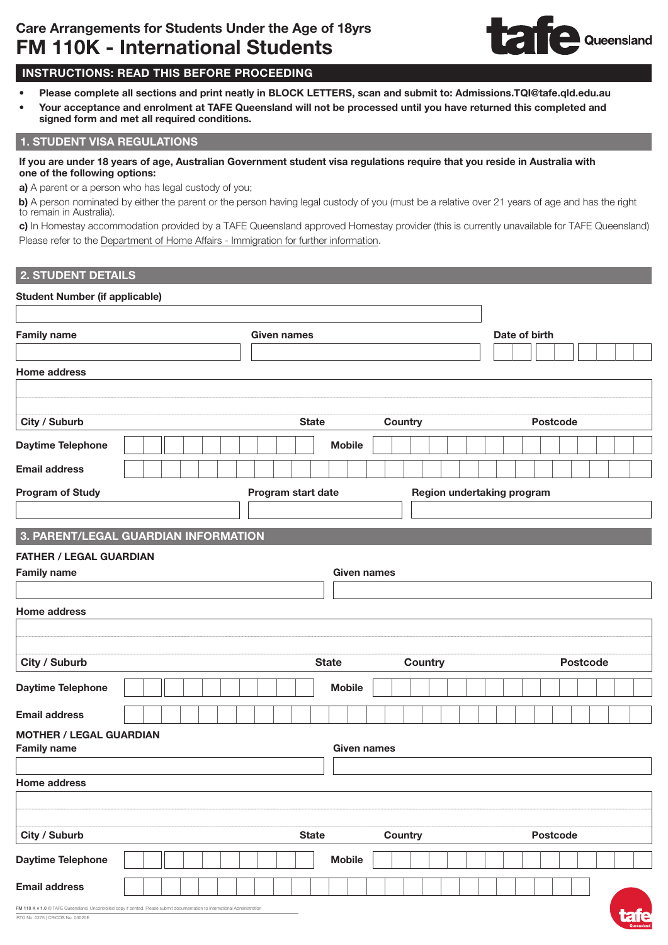

# INSTRUCTIONS: READ THIS BEFORE PROCEEDING

- Please complete all sections and print neatly in BLOCK LETTERS, scan and submit to: Admissions.TQI@tafe.qld.edu.au
- Your acceptance and enrolment at TAFE Queensland will not be processed until you have returned this completed and signed form and met all required conditions.

## 1. STUDENT VISA REGULATIONS

#### If you are under 18 years of age, Australian Government student visa regulations require that you reside in Australia with one of the following options:

a) A parent or a person who has legal custody of you;

b) A person nominated by either the parent or the person having legal custody of you (must be a relative over 21 years of age and has the right to remain in Australia).

c) In Homestay accommodation provided by a TAFE Queensland approved Homestay provider (this is currently unavailable for TAFE Queensland) Please refer to the Department of [Home Affairs - Immigration](https://immi.homeaffairs.gov.au/visas/getting-a-visa/visa-listing/student-500/welfare-arrangements-students-under-18) for further information.

### 2. STUDENT DETAILS

#### Student Number (if applicable)

| <b>Family name</b><br><b>Given names</b>                                                                                    |  |  |  |                    |                    |                    |         |                            |          | Date of birth |  |  |                 |  |                 |  |  |
|-----------------------------------------------------------------------------------------------------------------------------|--|--|--|--------------------|--------------------|--------------------|---------|----------------------------|----------|---------------|--|--|-----------------|--|-----------------|--|--|
|                                                                                                                             |  |  |  |                    |                    |                    |         |                            |          |               |  |  |                 |  |                 |  |  |
| <b>Home address</b>                                                                                                         |  |  |  |                    |                    |                    |         |                            |          |               |  |  |                 |  |                 |  |  |
|                                                                                                                             |  |  |  |                    |                    |                    |         |                            |          |               |  |  |                 |  |                 |  |  |
|                                                                                                                             |  |  |  |                    |                    |                    |         |                            |          |               |  |  |                 |  |                 |  |  |
| City / Suburb                                                                                                               |  |  |  |                    | <b>State</b>       |                    | Country |                            |          |               |  |  | <b>Postcode</b> |  |                 |  |  |
| Daytime Telephone                                                                                                           |  |  |  |                    |                    | <b>Mobile</b>      |         |                            |          |               |  |  |                 |  |                 |  |  |
| <b>Email address</b>                                                                                                        |  |  |  |                    |                    |                    |         |                            |          |               |  |  |                 |  |                 |  |  |
| <b>Program of Study</b>                                                                                                     |  |  |  |                    | Program start date |                    |         | Region undertaking program |          |               |  |  |                 |  |                 |  |  |
|                                                                                                                             |  |  |  |                    |                    |                    |         |                            |          |               |  |  |                 |  |                 |  |  |
| 3. PARENT/LEGAL GUARDIAN INFORMATION                                                                                        |  |  |  |                    |                    |                    |         |                            |          |               |  |  |                 |  |                 |  |  |
| <b>FATHER / LEGAL GUARDIAN</b>                                                                                              |  |  |  |                    |                    |                    |         |                            |          |               |  |  |                 |  |                 |  |  |
| <b>Family name</b>                                                                                                          |  |  |  |                    |                    | <b>Given names</b> |         |                            |          |               |  |  |                 |  |                 |  |  |
|                                                                                                                             |  |  |  |                    |                    |                    |         |                            |          |               |  |  |                 |  |                 |  |  |
| <b>Home address</b>                                                                                                         |  |  |  |                    |                    |                    |         |                            |          |               |  |  |                 |  |                 |  |  |
|                                                                                                                             |  |  |  |                    |                    |                    |         |                            |          |               |  |  |                 |  |                 |  |  |
|                                                                                                                             |  |  |  |                    |                    |                    |         |                            |          |               |  |  |                 |  |                 |  |  |
| City / Suburb                                                                                                               |  |  |  |                    |                    | <b>State</b>       |         | Country                    |          |               |  |  |                 |  | <b>Postcode</b> |  |  |
| Daytime Telephone                                                                                                           |  |  |  |                    |                    | <b>Mobile</b>      |         |                            |          |               |  |  |                 |  |                 |  |  |
| <b>Email address</b>                                                                                                        |  |  |  |                    |                    |                    |         |                            |          |               |  |  |                 |  |                 |  |  |
| <b>MOTHER / LEGAL GUARDIAN</b>                                                                                              |  |  |  |                    |                    |                    |         |                            |          |               |  |  |                 |  |                 |  |  |
| <b>Family name</b>                                                                                                          |  |  |  | <b>Given names</b> |                    |                    |         |                            |          |               |  |  |                 |  |                 |  |  |
|                                                                                                                             |  |  |  |                    |                    |                    |         |                            |          |               |  |  |                 |  |                 |  |  |
| <b>Home address</b>                                                                                                         |  |  |  |                    |                    |                    |         |                            |          |               |  |  |                 |  |                 |  |  |
|                                                                                                                             |  |  |  |                    |                    |                    |         |                            |          |               |  |  |                 |  |                 |  |  |
| City / Suburb<br><b>State</b>                                                                                               |  |  |  |                    | Country            |                    |         |                            | Postcode |               |  |  |                 |  |                 |  |  |
| <b>Daytime Telephone</b>                                                                                                    |  |  |  |                    |                    | <b>Mobile</b>      |         |                            |          |               |  |  |                 |  |                 |  |  |
| <b>Email address</b>                                                                                                        |  |  |  |                    |                    |                    |         |                            |          |               |  |  |                 |  |                 |  |  |
| FM 110 K v 1.0 C TAFE Queensland. Uncontrolled copy if printed. Please submit documentation to International Administration |  |  |  |                    |                    |                    |         |                            |          |               |  |  |                 |  |                 |  |  |